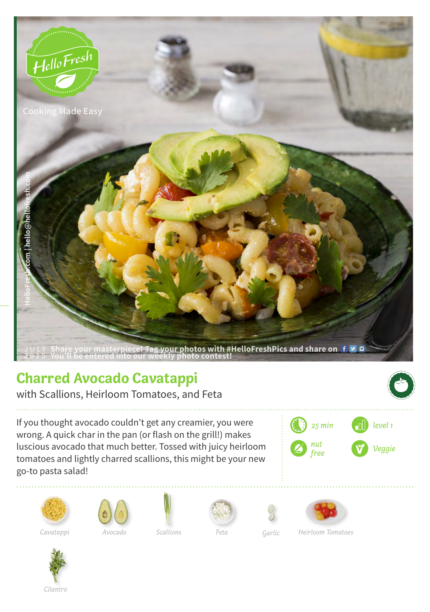

## **Charred Avocado Cavatappi**

with Scallions, Heirloom Tomatoes, and Feta

If you thought avocado couldn't get any creamier, you were wrong. A quick char in the pan (or flash on the grill!) makes luscious avocado that much better. Tossed with juicy heirloom tomatoes and lightly charred scallions, this might be your new go-to pasta salad!







*Avocado Feta Garlic*



*Cavatappi Scallions Heirloom Tomatoes*